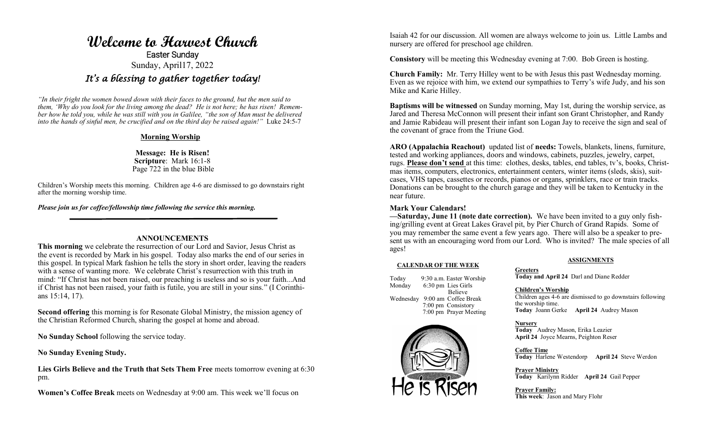# **Welcome to Harvest Church**  Easter Sunday Sunday, April17, 2022 *It's a blessing to gather together today!*

*"In their fright the women bowed down with their faces to the ground, but the men said to them, 'Why do you look for the living among the dead? He is not here; he has risen! Remember how he told you, while he was still with you in Galilee, "the son of Man must be delivered into the hands of sinful men, be crucified and on the third day be raised again!"* Luke 24:5-7

## **Morning Worship**

**Message: He is Risen! Scripture**: Mark 16:1-8 Page 722 in the blue Bible

Children's Worship meets this morning. Children age 4-6 are dismissed to go downstairs right after the morning worship time.

*Please join us for coffee/fellowship time following the service this morning.*

## **ANNOUNCEMENTS**

**This morning** we celebrate the resurrection of our Lord and Savior, Jesus Christ as the event is recorded by Mark in his gospel. Today also marks the end of our series in this gospel. In typical Mark fashion he tells the story in short order, leaving the readers with a sense of wanting more. We celebrate Christ's resurrection with this truth in mind: "If Christ has not been raised, our preaching is useless and so is your faith...And if Christ has not been raised, your faith is futile, you are still in your sins." (I Corinthians 15:14, 17).

**Second offering** this morning is for Resonate Global Ministry, the mission agency of the Christian Reformed Church, sharing the gospel at home and abroad.

**No Sunday School** following the service today.

**No Sunday Evening Study.**

**Lies Girls Believe and the Truth that Sets Them Free** meets tomorrow evening at 6:30 pm.

**Women's Coffee Break** meets on Wednesday at 9:00 am. This week we'll focus on

Isaiah 42 for our discussion. All women are always welcome to join us. Little Lambs and nursery are offered for preschool age children.

**Consistory** will be meeting this Wednesday evening at 7:00. Bob Green is hosting.

**Church Family:** Mr. Terry Hilley went to be with Jesus this past Wednesday morning. Even as we rejoice with him, we extend our sympathies to Terry's wife Judy, and his son Mike and Karie Hilley.

**Baptisms will be witnessed** on Sunday morning, May 1st, during the worship service, as Jared and Theresa McConnon will present their infant son Grant Christopher, and Randy and Jamie Rabideau will present their infant son Logan Jay to receive the sign and seal of the covenant of grace from the Triune God.

**ARO (Appalachia Reachout)** updated list of **needs:** Towels, blankets, linens, furniture, tested and working appliances, doors and windows, cabinets, puzzles, jewelry, carpet, rugs. **Please don't send** at this time: clothes, desks, tables, end tables, tv's, books, Christmas items, computers, electronics, entertainment centers, winter items (sleds, skis), suitcases, VHS tapes, cassettes or records, pianos or organs, sprinklers, race or train tracks. Donations can be brought to the church garage and they will be taken to Kentucky in the near future.

## **Mark Your Calendars!**

**—Saturday, June 11 (note date correction).** We have been invited to a guy only fishing/grilling event at Great Lakes Gravel pit, by Pier Church of Grand Rapids. Some of you may remember the same event a few years ago. There will also be a speaker to present us with an encouraging word from our Lord. Who is invited? The male species of all ages!

#### **CALENDAR OF THE WEEK**

Today 9:30 a.m. Easter Worship Monday 6:30 pm Lies Girls Believe Wednesday 9:00 am Coffee Break 7:00 pm Consistory 7:00 pm Prayer Meeting



#### **ASSIGNMENTS**

**Greeters Today and April 24** Darl and Diane Redder

#### **Children's Worship**

Children ages 4-6 are dismissed to go downstairs following the worship time. **Today** Joann Gerke **April 24** Audrey Mason

#### **Nursery**

**Today** Audrey Mason, Erika Leazier **April 24** Joyce Mearns, Peighton Reser

**Coffee Time Today** Harlene Westendorp **April 24** Steve Werdon

**Prayer Ministry Today** Karilynn Ridder **April 24** Gail Pepper

#### **Prayer Family:**

**This week**: Jason and Mary Flohr